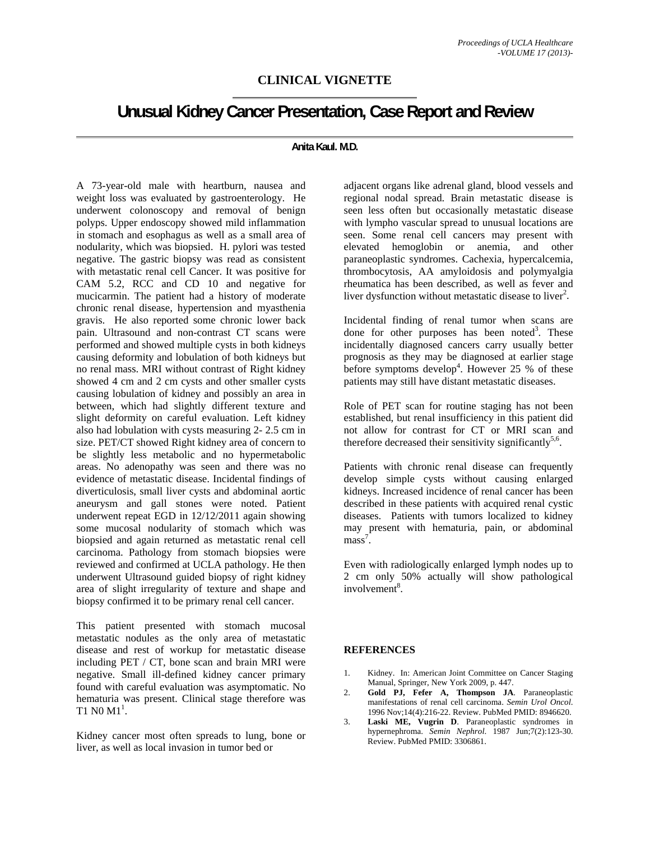## **CLINICAL VIGNETTE**

## **Unusual Kidney Cancer Presentation, Case Report and Review**

## **Anita Kaul. M.D.**

A 73-year-old male with heartburn, nausea and weight loss was evaluated by gastroenterology. He underwent colonoscopy and removal of benign polyps. Upper endoscopy showed mild inflammation in stomach and esophagus as well as a small area of nodularity, which was biopsied. H. pylori was tested negative. The gastric biopsy was read as consistent with metastatic renal cell Cancer. It was positive for CAM 5.2, RCC and CD 10 and negative for mucicarmin. The patient had a history of moderate chronic renal disease, hypertension and myasthenia gravis. He also reported some chronic lower back pain. Ultrasound and non-contrast CT scans were performed and showed multiple cysts in both kidneys causing deformity and lobulation of both kidneys but no renal mass. MRI without contrast of Right kidney showed 4 cm and 2 cm cysts and other smaller cysts causing lobulation of kidney and possibly an area in between, which had slightly different texture and slight deformity on careful evaluation. Left kidney also had lobulation with cysts measuring 2- 2.5 cm in size. PET/CT showed Right kidney area of concern to be slightly less metabolic and no hypermetabolic areas. No adenopathy was seen and there was no evidence of metastatic disease. Incidental findings of diverticulosis, small liver cysts and abdominal aortic aneurysm and gall stones were noted. Patient underwent repeat EGD in 12/12/2011 again showing some mucosal nodularity of stomach which was biopsied and again returned as metastatic renal cell carcinoma. Pathology from stomach biopsies were reviewed and confirmed at UCLA pathology. He then underwent Ultrasound guided biopsy of right kidney area of slight irregularity of texture and shape and biopsy confirmed it to be primary renal cell cancer.

This patient presented with stomach mucosal metastatic nodules as the only area of metastatic disease and rest of workup for metastatic disease including PET / CT, bone scan and brain MRI were negative. Small ill-defined kidney cancer primary found with careful evaluation was asymptomatic. No hematuria was present. Clinical stage therefore was T1 N0  $M1^1$ .

Kidney cancer most often spreads to lung, bone or liver, as well as local invasion in tumor bed or

adjacent organs like adrenal gland, blood vessels and regional nodal spread. Brain metastatic disease is seen less often but occasionally metastatic disease with lympho vascular spread to unusual locations are seen. Some renal cell cancers may present with elevated hemoglobin or anemia, and other paraneoplastic syndromes. Cachexia, hypercalcemia, thrombocytosis, AA amyloidosis and polymyalgia rheumatica has been described, as well as fever and liver dysfunction without metastatic disease to liver<sup>2</sup>.

Incidental finding of renal tumor when scans are done for other purposes has been noted<sup>3</sup>. These incidentally diagnosed cancers carry usually better prognosis as they may be diagnosed at earlier stage before symptoms develop<sup>4</sup>. However  $25%$  of these patients may still have distant metastatic diseases.

Role of PET scan for routine staging has not been established, but renal insufficiency in this patient did not allow for contrast for CT or MRI scan and therefore decreased their sensitivity significantly<sup>5,6</sup>.

Patients with chronic renal disease can frequently develop simple cysts without causing enlarged kidneys. Increased incidence of renal cancer has been described in these patients with acquired renal cystic diseases. Patients with tumors localized to kidney may present with hematuria, pain, or abdominal mass<sup>7</sup>.

Even with radiologically enlarged lymph nodes up to 2 cm only 50% actually will show pathological involvement<sup>8</sup>.

## **REFERENCES**

- 1. Kidney. In: American Joint Committee on Cancer Staging Manual, Springer, New York 2009, p. 447.
- 2. **Gold PJ, Fefer A, Thompson JA**. Paraneoplastic manifestations of renal cell carcinoma. *Semin Urol Oncol*. 1996 Nov;14(4):216-22. Review. PubMed PMID: 8946620.
- 3. **Laski ME, Vugrin D**. Paraneoplastic syndromes in hypernephroma. *Semin Nephrol*. 1987 Jun;7(2):123-30. Review. PubMed PMID: 3306861.